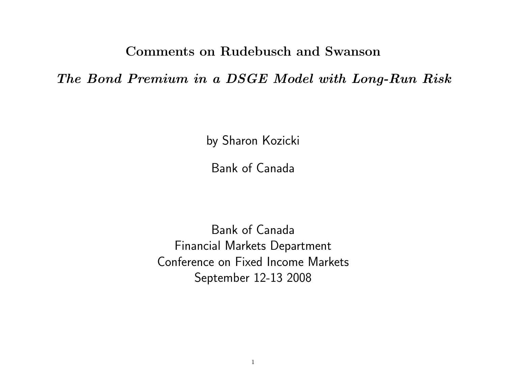Comments on Rudebusch and Swanson

The Bond Premium in a DSGE Model with Long-Run Risk

by Sharon Kozicki

Bank of Canada

Bank of Canada Financial Markets Department Conference on Fixed Income Markets September 12-13 2008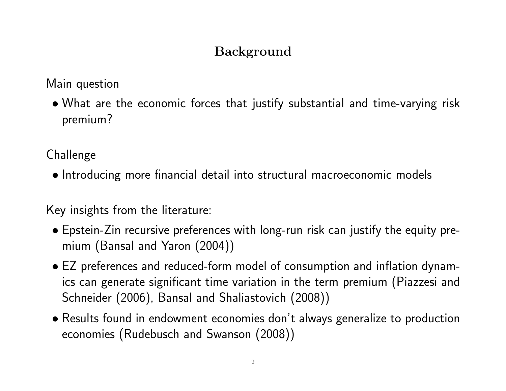# Background

Main question

• What are the economic forces that justify substantial and time-varying risk premium?

Challenge

• Introducing more financial detail into structural macroeconomic models

Key insights from the literature:

- Epstein-Zin recursive preferences with long-run risk can justify the equity premium (Bansal and Yaron (2004))
- EZ preferences and reduced-form model of consumption and inflation dynamics can generate significant time variation in the term premium (Piazzesi and Schneider (2006), Bansal and Shaliastovich (2008))
- Results found in endowment economies don't always generalize to production economies (Rudebusch and Swanson (2008))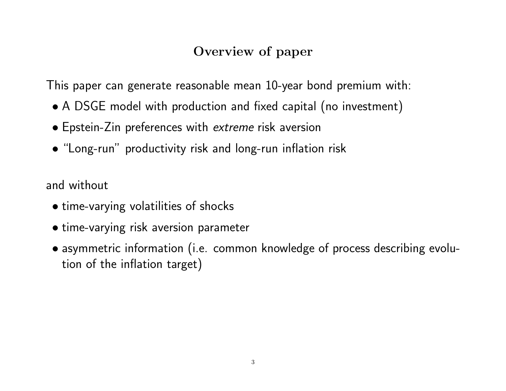### Overview of paper

This paper can generate reasonable mean 10-year bond premium with:

- A DSGE model with production and fixed capital (no investment)
- Epstein-Zin preferences with extreme risk aversion
- "Long-run" productivity risk and long-run inflation risk

and without

- time-varying volatilities of shocks
- time-varying risk aversion parameter
- asymmetric information (i.e. common knowledge of process describing evolution of the inflation target)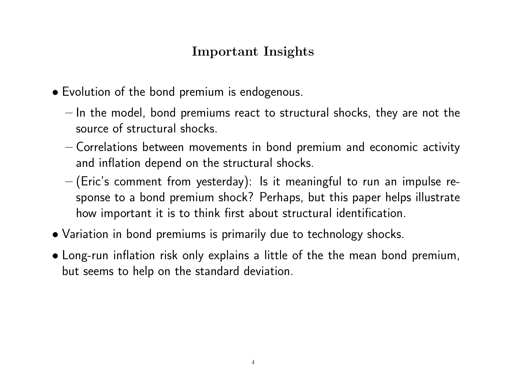### Important Insights

- Evolution of the bond premium is endogenous.
	- In the model, bond premiums react to structural shocks, they are not the source of structural shocks.
	- Correlations between movements in bond premium and economic activity and inflation depend on the structural shocks.
	- (Eric's comment from yesterday): Is it meaningful to run an impulse response to a bond premium shock? Perhaps, but this paper helps illustrate how important it is to think first about structural identification.
- Variation in bond premiums is primarily due to technology shocks.
- Long-run inflation risk only explains a little of the the mean bond premium, but seems to help on the standard deviation.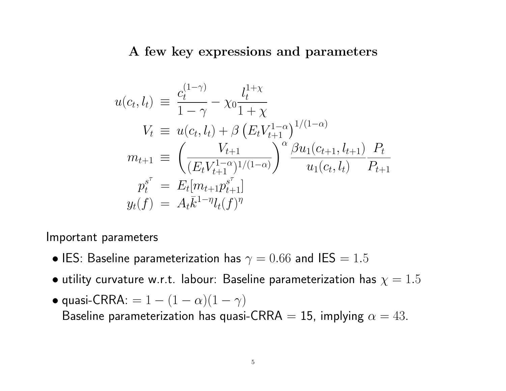#### A few key expressions and parameters

$$
u(c_t, l_t) \equiv \frac{c_t^{(1-\gamma)}}{1-\gamma} - \chi_0 \frac{l_t^{1+\chi}}{1+\chi}
$$
  
\n
$$
V_t \equiv u(c_t, l_t) + \beta \left(E_t V_{t+1}^{1-\alpha}\right)^{1/(1-\alpha)}
$$
  
\n
$$
m_{t+1} \equiv \left(\frac{V_{t+1}}{(E_t V_{t+1}^{1-\alpha})^{1/(1-\alpha)}}\right)^{\alpha} \frac{\beta u_1(c_{t+1}, l_{t+1})}{u_1(c_t, l_t)} \frac{P_t}{P_{t+1}}
$$
  
\n
$$
p_t^{s^\tau} = E_t[m_{t+1} p_{t+1}^{s^\tau}]
$$
  
\n
$$
y_t(f) = A_t \bar{k}^{1-\eta} l_t(f)^{\eta}
$$

Important parameters

- IES: Baseline parameterization has  $\gamma = 0.66$  and IES  $= 1.5$
- $\bullet$  utility curvature w.r.t. labour: Baseline parameterization has  $\chi=1.5$
- quasi-CRRA: =  $1 (1 \alpha)(1 \gamma)$ Baseline parameterization has quasi-CRRA = 15, implying  $\alpha = 43$ .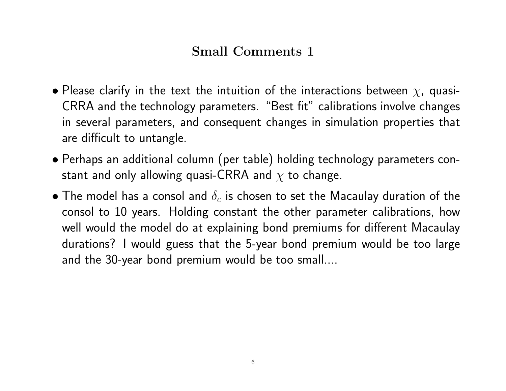### Small Comments 1

- Please clarify in the text the intuition of the interactions between  $\chi$ , quasi-CRRA and the technology parameters. "Best fit" calibrations involve changes in several parameters, and consequent changes in simulation properties that are difficult to untangle.
- Perhaps an additional column (per table) holding technology parameters constant and only allowing quasi-CRRA and  $\chi$  to change.
- $\bullet$  The model has a consol and  $\delta_c$  is chosen to set the Macaulay duration of the consol to 10 years. Holding constant the other parameter calibrations, how well would the model do at explaining bond premiums for different Macaulay durations? I would guess that the 5-year bond premium would be too large and the 30-year bond premium would be too small....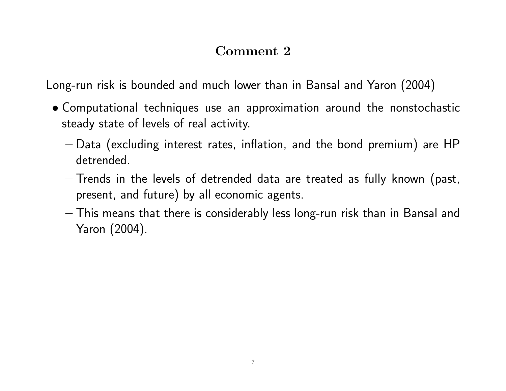### Comment 2

Long-run risk is bounded and much lower than in Bansal and Yaron (2004)

- Computational techniques use an approximation around the nonstochastic steady state of levels of real activity.
	- Data (excluding interest rates, inflation, and the bond premium) are HP detrended.
	- Trends in the levels of detrended data are treated as fully known (past, present, and future) by all economic agents.
	- This means that there is considerably less long-run risk than in Bansal and Yaron (2004).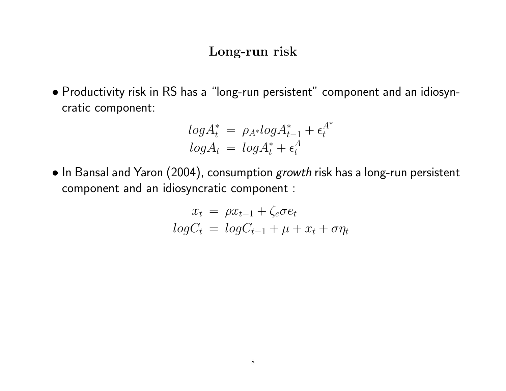#### Long-run risk

• Productivity risk in RS has a "long-run persistent" component and an idiosyncratic component:

$$
log A_t^* = \rho_{A^*} log A_{t-1}^* + \epsilon_t^{A^*}
$$

$$
log A_t = log A_t^* + \epsilon_t^A
$$

• In Bansal and Yaron (2004), consumption growth risk has a long-run persistent component and an idiosyncratic component :

$$
x_t = \rho x_{t-1} + \zeta_e \sigma e_t
$$

$$
log C_t = log C_{t-1} + \mu + x_t + \sigma \eta_t
$$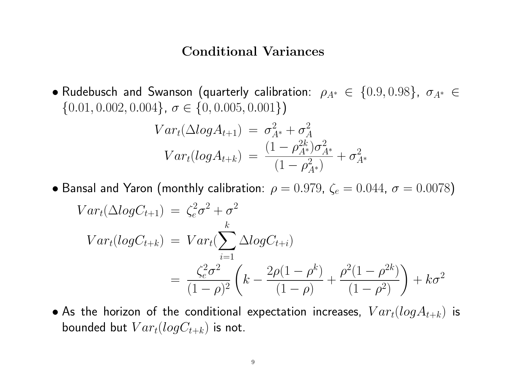#### Conditional Variances

• Rudebusch and Swanson (quarterly calibration:  $\rho_{A^*} \in \{0.9, 0.98\}$ ,  $\sigma_{A^*} \in$  $\{0.01, 0.002, 0.004\}, \sigma \in \{0, 0.005, 0.001\}\}\$ 

$$
Var_t(\Delta log A_{t+1}) = \sigma_{A^*}^2 + \sigma_A^2
$$
  

$$
Var_t(log A_{t+k}) = \frac{(1 - \rho_{A^*}^{2k})\sigma_{A^*}^2}{(1 - \rho_{A^*}^2)} + \sigma_{A^*}^2
$$

• Bansal and Yaron (monthly calibration:  $\rho = 0.979$ ,  $\zeta_e = 0.044$ ,  $\sigma = 0.0078$ )

$$
Var_t(\Delta log C_{t+1}) = \zeta_e^2 \sigma^2 + \sigma^2
$$
  
\n
$$
Var_t(log C_{t+k}) = Var_t(\sum_{i=1}^k \Delta log C_{t+i})
$$
  
\n
$$
= \frac{\zeta_e^2 \sigma^2}{(1 - \rho)^2} \left( k - \frac{2\rho(1 - \rho^k)}{(1 - \rho)} + \frac{\rho^2(1 - \rho^{2k})}{(1 - \rho^2)} \right) + k\sigma^2
$$

• As the horizon of the conditional expectation increases,  $Var_t(logA_{t+k})$  is bounded but  $Var_t(logC_{t+k})$  is not.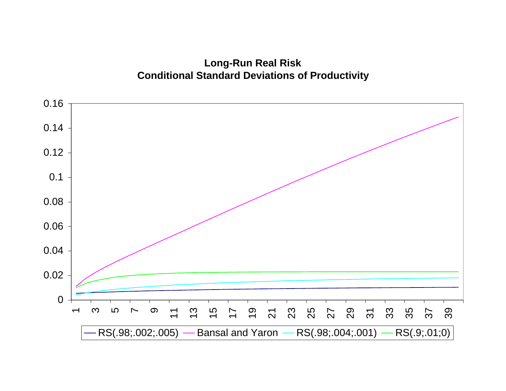**Long-Run Real Risk Conditional Standard Deviations of Productivity**

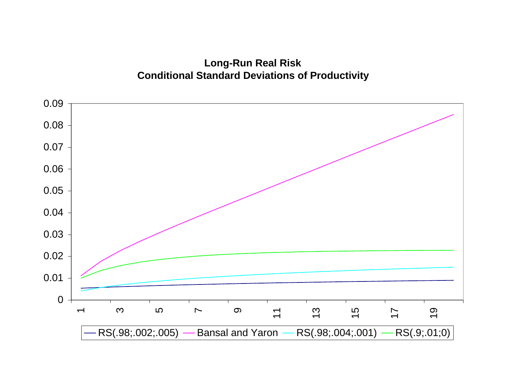**Long-Run Real Risk Conditional Standard Deviations of Productivity**

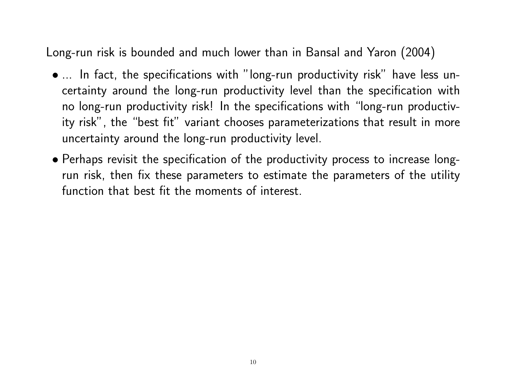Long-run risk is bounded and much lower than in Bansal and Yaron (2004)

- ... In fact, the specifications with "long-run productivity risk" have less uncertainty around the long-run productivity level than the specification with no long-run productivity risk! In the specifications with "long-run productivity risk", the "best fit" variant chooses parameterizations that result in more uncertainty around the long-run productivity level.
- Perhaps revisit the specification of the productivity process to increase longrun risk, then fix these parameters to estimate the parameters of the utility function that best fit the moments of interest.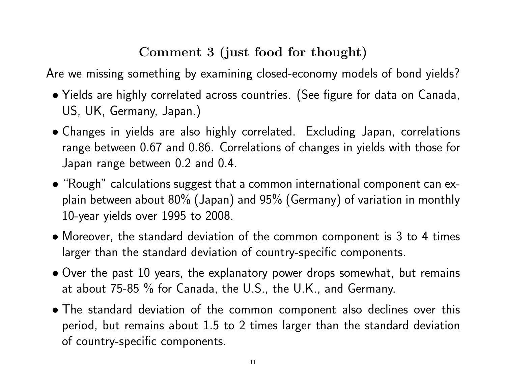## Comment 3 (just food for thought)

Are we missing something by examining closed-economy models of bond yields?

- Yields are highly correlated across countries. (See figure for data on Canada, US, UK, Germany, Japan.)
- Changes in yields are also highly correlated. Excluding Japan, correlations range between 0.67 and 0.86. Correlations of changes in yields with those for Japan range between 0.2 and 0.4.
- "Rough" calculations suggest that a common international component can explain between about 80% (Japan) and 95% (Germany) of variation in monthly 10-year yields over 1995 to 2008.
- Moreover, the standard deviation of the common component is 3 to 4 times larger than the standard deviation of country-specific components.
- Over the past 10 years, the explanatory power drops somewhat, but remains at about 75-85 % for Canada, the U.S., the U.K., and Germany.
- The standard deviation of the common component also declines over this period, but remains about 1.5 to 2 times larger than the standard deviation of country-specific components.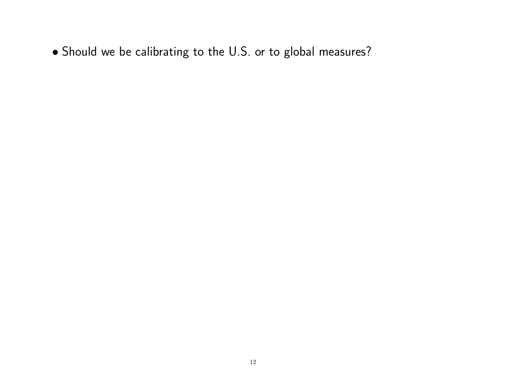• Should we be calibrating to the U.S. or to global measures?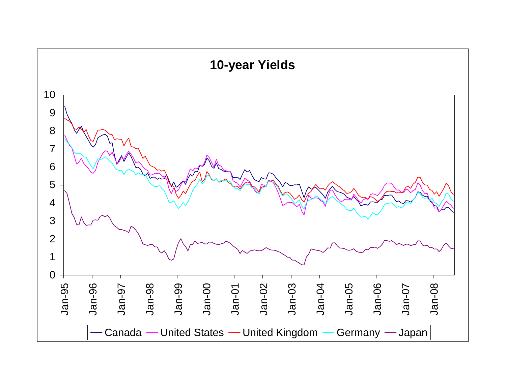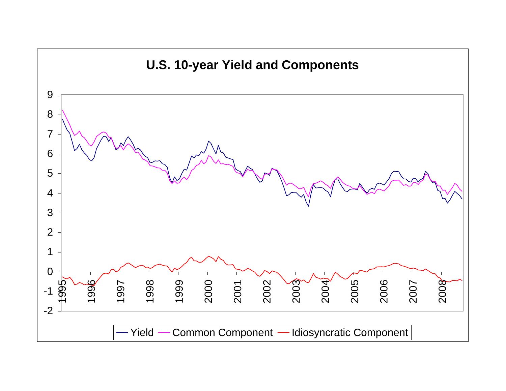